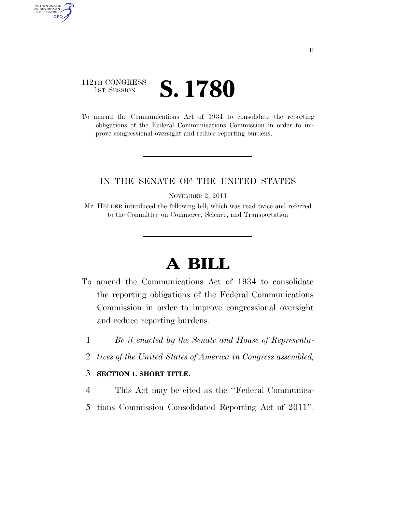# 112TH CONGRESS **IST SESSION S. 1780**

AUTHENTICATED<br>U.S. GOVERNMENT<br>INFORMATION GPO

> To amend the Communications Act of 1934 to consolidate the reporting obligations of the Federal Communications Commission in order to improve congressional oversight and reduce reporting burdens.

### IN THE SENATE OF THE UNITED STATES

NOVEMBER 2, 2011

Mr. HELLER introduced the following bill; which was read twice and referred to the Committee on Commerce, Science, and Transportation

# **A BILL**

- To amend the Communications Act of 1934 to consolidate the reporting obligations of the Federal Communications Commission in order to improve congressional oversight and reduce reporting burdens.
	- 1 *Be it enacted by the Senate and House of Representa-*
	- 2 *tives of the United States of America in Congress assembled,*

#### 3 **SECTION 1. SHORT TITLE.**

- 4 This Act may be cited as the ''Federal Communica-
- 5 tions Commission Consolidated Reporting Act of 2011''.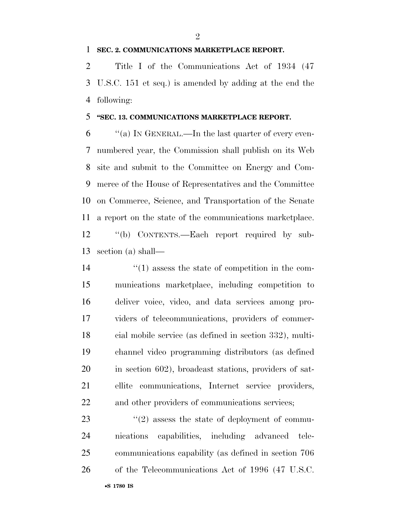#### **SEC. 2. COMMUNICATIONS MARKETPLACE REPORT.**

 Title I of the Communications Act of 1934 (47 U.S.C. 151 et seq.) is amended by adding at the end the following:

#### **''SEC. 13. COMMUNICATIONS MARKETPLACE REPORT.**

 $\frac{6}{100}$  ''(a) In GENERAL.—In the last quarter of every even- numbered year, the Commission shall publish on its Web site and submit to the Committee on Energy and Com- merce of the House of Representatives and the Committee on Commerce, Science, and Transportation of the Senate a report on the state of the communications marketplace. ''(b) CONTENTS.—Each report required by sub-section (a) shall—

 $\frac{1}{2}$  (1) assess the state of competition in the com- munications marketplace, including competition to deliver voice, video, and data services among pro- viders of telecommunications, providers of commer- cial mobile service (as defined in section 332), multi- channel video programming distributors (as defined in section 602), broadcast stations, providers of sat- ellite communications, Internet service providers, and other providers of communications services;

23 ''(2) assess the state of deployment of commu- nications capabilities, including advanced tele- communications capability (as defined in section 706 of the Telecommunications Act of 1996 (47 U.S.C.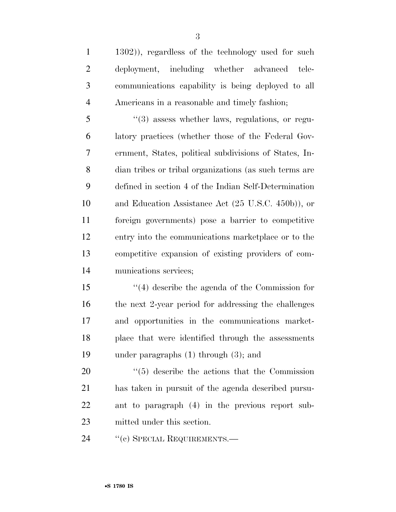1302)), regardless of the technology used for such deployment, including whether advanced tele- communications capability is being deployed to all Americans in a reasonable and timely fashion;

 ''(3) assess whether laws, regulations, or regu- latory practices (whether those of the Federal Gov- ernment, States, political subdivisions of States, In- dian tribes or tribal organizations (as such terms are defined in section 4 of the Indian Self-Determination and Education Assistance Act (25 U.S.C. 450b)), or foreign governments) pose a barrier to competitive entry into the communications marketplace or to the competitive expansion of existing providers of com-munications services;

 ''(4) describe the agenda of the Commission for the next 2-year period for addressing the challenges and opportunities in the communications market- place that were identified through the assessments under paragraphs (1) through (3); and

 $\frac{1}{20}$  (5) describe the actions that the Commission has taken in pursuit of the agenda described pursu- ant to paragraph (4) in the previous report sub-mitted under this section.

24 "(c) SPECIAL REQUIREMENTS.—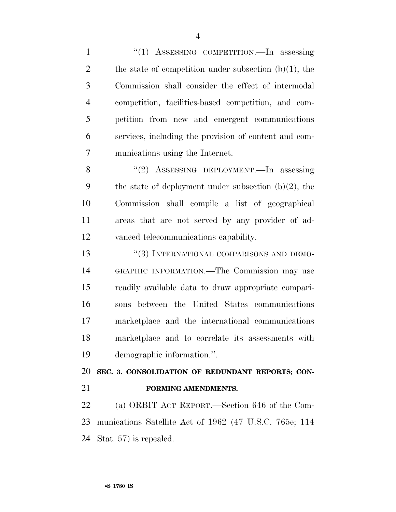1 "(1) ASSESSING COMPETITION.—In assessing 2 the state of competition under subsection  $(b)(1)$ , the Commission shall consider the effect of intermodal competition, facilities-based competition, and com- petition from new and emergent communications services, including the provision of content and com-munications using the Internet.

 ''(2) ASSESSING DEPLOYMENT.—In assessing 9 the state of deployment under subsection  $(b)(2)$ , the Commission shall compile a list of geographical areas that are not served by any provider of ad-vanced telecommunications capability.

13 "(3) INTERNATIONAL COMPARISONS AND DEMO- GRAPHIC INFORMATION.—The Commission may use readily available data to draw appropriate compari- sons between the United States communications marketplace and the international communications marketplace and to correlate its assessments with demographic information.''.

**SEC. 3. CONSOLIDATION OF REDUNDANT REPORTS; CON-**

- 
- **FORMING AMENDMENTS.**

 (a) ORBIT ACT REPORT.—Section 646 of the Com- munications Satellite Act of 1962 (47 U.S.C. 765e; 114 Stat. 57) is repealed.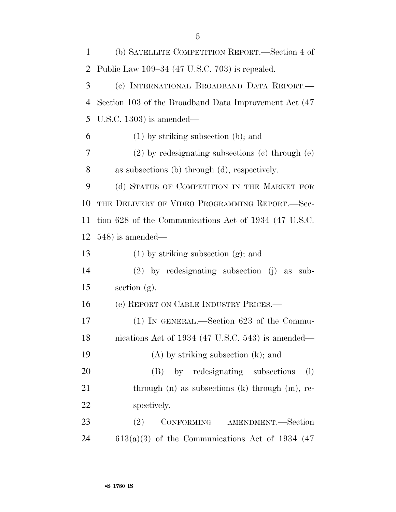| 1              | (b) SATELLITE COMPETITION REPORT.—Section 4 of         |
|----------------|--------------------------------------------------------|
| 2              | Public Law 109-34 (47 U.S.C. 703) is repealed.         |
| 3              | (c) INTERNATIONAL BROADBAND DATA REPORT.               |
| $\overline{4}$ | Section 103 of the Broadband Data Improvement Act (47) |
| 5              | U.S.C. 1303) is amended—                               |
| 6              | $(1)$ by striking subsection (b); and                  |
| 7              | $(2)$ by redesignating subsections $(e)$ through $(e)$ |
| 8              | as subsections (b) through (d), respectively.          |
| 9              | (d) STATUS OF COMPETITION IN THE MARKET FOR            |
| 10             | THE DELIVERY OF VIDEO PROGRAMMING REPORT.-Sec-         |
| 11             | tion 628 of the Communications Act of 1934 (47 U.S.C.  |
| 12             | $548$ ) is amended—                                    |
| 13             | $(1)$ by striking subsection $(g)$ ; and               |
| 14             | $(2)$ by redesignating subsection $(j)$ as<br>sub-     |
| 15             | section $(g)$ .                                        |
| 16             | (e) REPORT ON CABLE INDUSTRY PRICES.—                  |
| 17             | $(1)$ In GENERAL.—Section 623 of the Commu-            |
| 18             | nications Act of 1934 (47 U.S.C. 543) is amended—      |
| 19             | $(A)$ by striking subsection $(k)$ ; and               |
| 20             | (B) by redesignating subsections<br>(1)                |
| 21             | through $(n)$ as subsections $(k)$ through $(m)$ , re- |
| 22             | spectively.                                            |
| 23             | CONFORMING AMENDMENT.-Section<br>(2)                   |
| 24             | $613(a)(3)$ of the Communications Act of 1934 (47)     |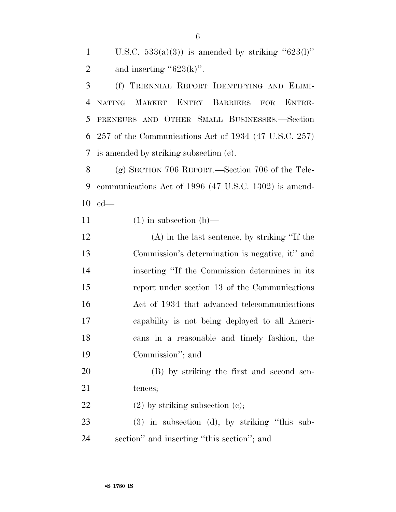1 U.S.C.  $533(a)(3)$  is amended by striking " $623(1)$ " 2 and inserting " $623(k)$ ".

 (f) TRIENNIAL REPORT IDENTIFYING AND ELIMI- NATING MARKET ENTRY BARRIERS FOR ENTRE- PRENEURS AND OTHER SMALL BUSINESSES.—Section 257 of the Communications Act of 1934 (47 U.S.C. 257) is amended by striking subsection (c).

 (g) SECTION 706 REPORT.—Section 706 of the Tele- communications Act of 1996 (47 U.S.C. 1302) is amend-ed—

11  $(1)$  in subsection  $(b)$ —

 (A) in the last sentence, by striking ''If the Commission's determination is negative, it'' and inserting ''If the Commission determines in its report under section 13 of the Communications Act of 1934 that advanced telecommunications capability is not being deployed to all Ameri- cans in a reasonable and timely fashion, the Commission''; and

 (B) by striking the first and second sen-21 tences;

22 (2) by striking subsection (c);

 (3) in subsection (d), by striking ''this sub-section'' and inserting ''this section''; and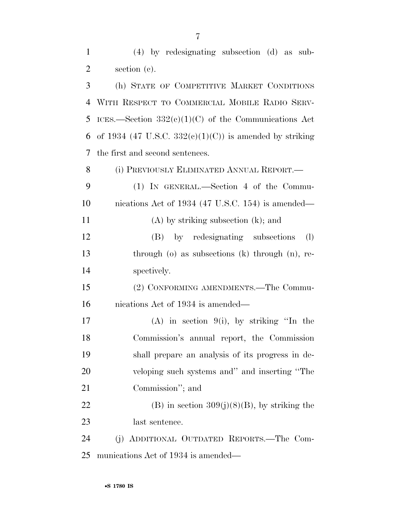| $\mathbf{1}$   | $(4)$ by redesignating subsection $(d)$ as sub-             |
|----------------|-------------------------------------------------------------|
| $\overline{2}$ | section (c).                                                |
| 3              | (h) STATE OF COMPETITIVE MARKET CONDITIONS                  |
| 4              | WITH RESPECT TO COMMERCIAL MOBILE RADIO SERV-               |
| 5              | ICES.—Section $332(e)(1)(C)$ of the Communications Act      |
| 6              | of 1934 (47 U.S.C. 332 $(e)(1)(C)$ ) is amended by striking |
| 7              | the first and second sentences.                             |
| 8              | (i) PREVIOUSLY ELIMINATED ANNUAL REPORT.—                   |
| 9              | $(1)$ IN GENERAL.—Section 4 of the Commu-                   |
| 10             | nications Act of 1934 (47 U.S.C. 154) is amended—           |
| 11             | $(A)$ by striking subsection $(k)$ ; and                    |
| 12             | (B) by redesignating subsections<br>(1)                     |
| 13             | through $(o)$ as subsections $(k)$ through $(n)$ , re-      |
| 14             | spectively.                                                 |
| 15             | (2) CONFORMING AMENDMENTS.—The Commu-                       |
| 16             | nications Act of 1934 is amended—                           |
| 17             | $(A)$ in section 9(i), by striking "In the                  |
| 18             | Commission's annual report, the Commission                  |
| 19             | shall prepare an analysis of its progress in de-            |
| 20             | veloping such systems and" and inserting "The               |
| 21             | Commission"; and                                            |
| 22             | $(B)$ in section 309(j)(8)(B), by striking the              |
| 23             | last sentence.                                              |
| 24             | (j) ADDITIONAL OUTDATED REPORTS.—The Com-                   |
| 25             | munications Act of 1934 is amended—                         |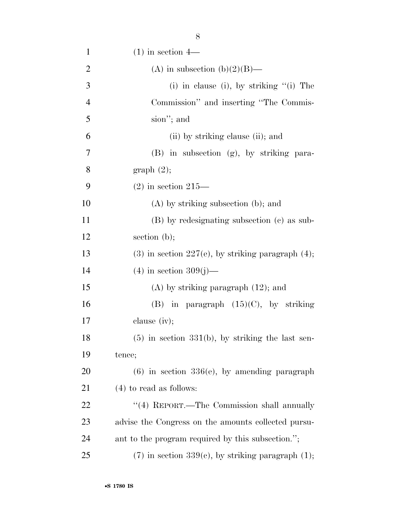| $\mathbf{1}$   | $(1)$ in section 4—                                    |
|----------------|--------------------------------------------------------|
| $\overline{2}$ | (A) in subsection (b)(2)(B)—                           |
| 3              | (i) in clause (i), by striking $\lq$ (i) The           |
| $\overline{4}$ | Commission" and inserting "The Commis-                 |
| 5              | sion"; and                                             |
| 6              | (ii) by striking clause (ii); and                      |
| 7              | $(B)$ in subsection $(g)$ , by striking para-          |
| 8              | graph(2);                                              |
| 9              | $(2)$ in section 215—                                  |
| 10             | $(A)$ by striking subsection (b); and                  |
| 11             | (B) by redesignating subsection (c) as sub-            |
| 12             | section $(b)$ ;                                        |
| 13             | $(3)$ in section 227(e), by striking paragraph $(4)$ ; |
| 14             | $(4)$ in section 309(j)—                               |
| 15             | $(A)$ by striking paragraph $(12)$ ; and               |
| 16             | (B) in paragraph $(15)(C)$ , by striking               |
| 17             | clause $(iv);$                                         |
| 18             | $(5)$ in section 331(b), by striking the last sen-     |
| 19             | tence;                                                 |
| <b>20</b>      | $(6)$ in section 336 $(e)$ , by amending paragraph     |
| 21             | $(4)$ to read as follows:                              |
| 22             | "(4) REPORT.—The Commission shall annually             |
| 23             | advise the Congress on the amounts collected pursu-    |
| 24             | ant to the program required by this subsection.";      |
| 25             | $(7)$ in section 339(c), by striking paragraph $(1)$ ; |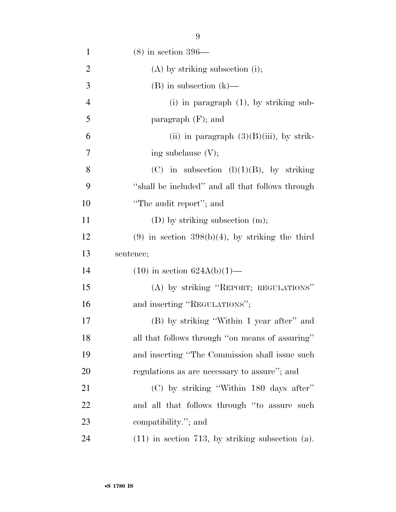| $\mathbf{1}$   | $(8)$ in section 396—                             |
|----------------|---------------------------------------------------|
| $\overline{2}$ | $(A)$ by striking subsection (i);                 |
| 3              | $(B)$ in subsection $(k)$ —                       |
| $\overline{4}$ | $(i)$ in paragraph $(1)$ , by striking sub-       |
| 5              | paragraph $(F)$ ; and                             |
| 6              | (ii) in paragraph $(3)(B)(iii)$ , by strik-       |
| 7              | ing subclause $(V)$ ;                             |
| 8              | (C) in subsection $(l)(1)(B)$ , by striking       |
| 9              | "shall be included" and all that follows through  |
| 10             | "The audit report"; and                           |
| 11             | $(D)$ by striking subsection $(m)$ ;              |
| 12             | $(9)$ in section 398(b)(4), by striking the third |
|                |                                                   |
| 13             | sentence;                                         |
| 14             | $(10)$ in section $624A(b)(1)$ —                  |
| 15             | (A) by striking "REPORT; REGULATIONS"             |
| 16             | and inserting "REGULATIONS";                      |
| 17             | (B) by striking "Within 1 year after" and         |
| 18             | all that follows through "on means of assuring"   |
| 19             | and inserting "The Commission shall issue such    |
| 20             | regulations as are necessary to assure"; and      |
| 21             | (C) by striking "Within 180 days after"           |
| 22             | and all that follows through "to assure such      |
| 23             | compatibility."; and                              |